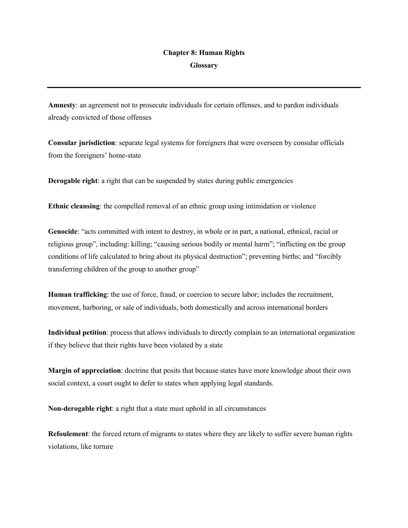## **Chapter 8: Human Rights Glossary**

**Amnesty**: an agreement not to prosecute individuals for certain offenses, and to pardon individuals already convicted of those offenses

**Consular jurisdiction**: separate legal systems for foreigners that were overseen by consular officials from the foreigners' home-state

**Derogable right**: a right that can be suspended by states during public emergencies

**Ethnic cleansing**: the compelled removal of an ethnic group using intimidation or violence

**Genocide**: "acts committed with intent to destroy, in whole or in part, a national, ethnical, racial or religious group", including: killing; "causing serious bodily or mental harm"; "inflicting on the group conditions of life calculated to bring about its physical destruction"; preventing births; and "forcibly transferring children of the group to another group"

**Human trafficking**: the use of force, fraud, or coercion to secure labor; includes the recruitment, movement, harboring, or sale of individuals, both domestically and across international borders

**Individual petition**: process that allows individuals to directly complain to an international organization if they believe that their rights have been violated by a state

**Margin of appreciation**: doctrine that posits that because states have more knowledge about their own social context, a court ought to defer to states when applying legal standards.

**Non-derogable right**: a right that a state must uphold in all circumstances

**Refoulement**: the forced return of migrants to states where they are likely to suffer severe human rights violations, like torture